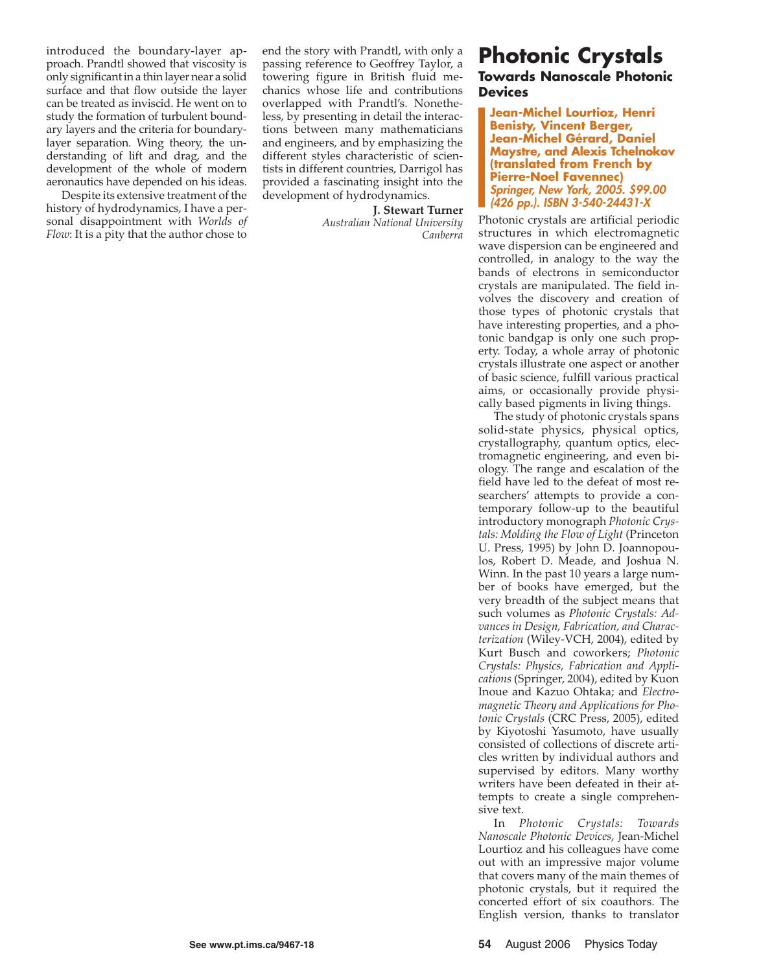introduced the boundary-layer approach. Prandtl showed that viscosity is only significant in a thin layer near a solid surface and that flow outside the layer can be treated as inviscid. He went on to study the formation of turbulent boundary layers and the criteria for boundarylayer separation. Wing theory, the understanding of lift and drag, and the development of the whole of modern aeronautics have depended on his ideas.

Despite its extensive treatment of the history of hydrodynamics, I have a personal disappointment with *Worlds of Flow*: It is a pity that the author chose to

end the story with Prandtl, with only a passing reference to Geoffrey Taylor, a towering figure in British fluid mechanics whose life and contributions overlapped with Prandtl's. Nonetheless, by presenting in detail the interactions between many mathematicians and engineers, and by emphasizing the different styles characteristic of scientists in different countries, Darrigol has provided a fascinating insight into the development of hydrodynamics.

**J. Stewart Turner**

*Australian National University Canberra*

## **Photonic Crystals**

**Towards Nanoscale Photonic Devices**

**Jean-Michel Lourtioz, Henri Benisty, Vincent Berger, Jean-Michel Gérard, Daniel Maystre, and Alexis Tchelnokov (translated from French by Pierre-Noel Favennec)** Springer, New York, 2005. \$99.00 (426 pp.). ISBN 3-540-24431-X

Photonic crystals are artificial periodic structures in which electromagnetic wave dispersion can be engineered and controlled, in analogy to the way the bands of electrons in semiconductor crystals are manipulated. The field involves the discovery and creation of those types of photonic crystals that have interesting properties, and a photonic bandgap is only one such property. Today, a whole array of photonic crystals illustrate one aspect or another of basic science, fulfill various practical aims, or occasionally provide physically based pigments in living things.

The study of photonic crystals spans solid-state physics, physical optics, crystallography, quantum optics, electromagnetic engineering, and even biology. The range and escalation of the field have led to the defeat of most researchers' attempts to provide a contemporary follow-up to the beautiful introductory monograph *Photonic Crystals: Molding the Flow of Light* (Princeton U. Press, 1995) by John D. Joannopoulos, Robert D. Meade, and Joshua N. Winn. In the past 10 years a large number of books have emerged, but the very breadth of the subject means that such volumes as *Photonic Crystals: Advances in Design, Fabrication, and Characterization* (Wiley-VCH, 2004), edited by Kurt Busch and coworkers; *Photonic Crystals: Physics, Fabrication and Applications* (Springer, 2004), edited by Kuon Inoue and Kazuo Ohtaka; and *Electromagnetic Theory and Applications for Photonic Crystals* (CRC Press, 2005), edited by Kiyotoshi Yasumoto, have usually consisted of collections of discrete articles written by individual authors and supervised by editors. Many worthy writers have been defeated in their attempts to create a single comprehensive text.

In *Photonic Crystals: Towards Nanoscale Photonic Devices*, Jean-Michel Lourtioz and his colleagues have come out with an impressive major volume that covers many of the main themes of photonic crystals, but it required the concerted effort of six coauthors. The English version, thanks to translator